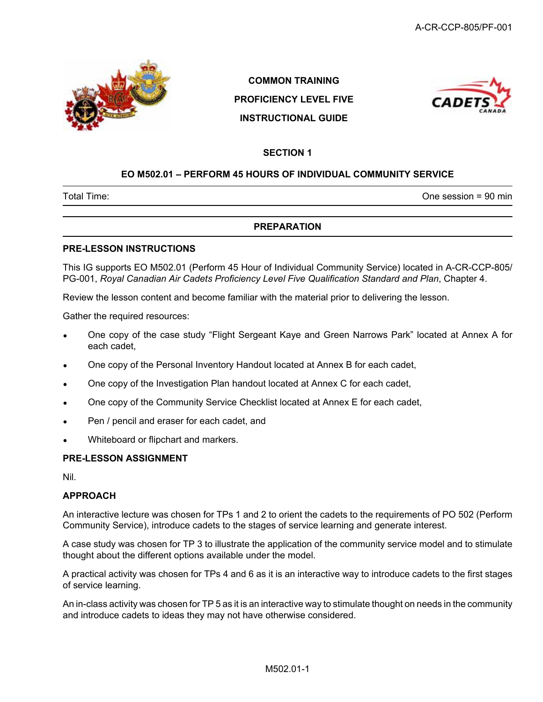

**COMMON TRAINING PROFICIENCY LEVEL FIVE INSTRUCTIONAL GUIDE**



### **SECTION 1**

#### **EO M502.01 – PERFORM 45 HOURS OF INDIVIDUAL COMMUNITY SERVICE**

Total Time: One session = 90 min

#### **PREPARATION**

#### **PRE-LESSON INSTRUCTIONS**

This IG supports EO M502.01 (Perform 45 Hour of Individual Community Service) located in A-CR-CCP-805/ PG-001, *Royal Canadian Air Cadets Proficiency Level Five Qualification Standard and Plan*, Chapter 4.

Review the lesson content and become familiar with the material prior to delivering the lesson.

Gather the required resources:

- One copy of the case study "Flight Sergeant Kaye and Green Narrows Park" located at Annex A for each cadet,
- One copy of the Personal Inventory Handout located at Annex B for each cadet,
- One copy of the Investigation Plan handout located at Annex C for each cadet,
- One copy of the Community Service Checklist located at Annex E for each cadet,
- Pen / pencil and eraser for each cadet, and
- Whiteboard or flipchart and markers.

## **PRE-LESSON ASSIGNMENT**

Nil.

#### **APPROACH**

An interactive lecture was chosen for TPs 1 and 2 to orient the cadets to the requirements of PO 502 (Perform Community Service), introduce cadets to the stages of service learning and generate interest.

A case study was chosen for TP 3 to illustrate the application of the community service model and to stimulate thought about the different options available under the model.

A practical activity was chosen for TPs 4 and 6 as it is an interactive way to introduce cadets to the first stages of service learning.

An in-class activity was chosen for TP 5 as it is an interactive way to stimulate thought on needs in the community and introduce cadets to ideas they may not have otherwise considered.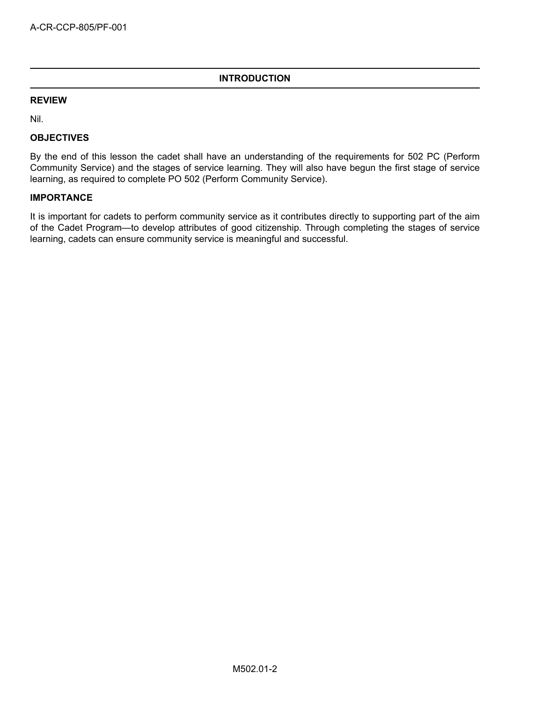# **INTRODUCTION**

#### **REVIEW**

Nil.

# **OBJECTIVES**

By the end of this lesson the cadet shall have an understanding of the requirements for 502 PC (Perform Community Service) and the stages of service learning. They will also have begun the first stage of service learning, as required to complete PO 502 (Perform Community Service).

### **IMPORTANCE**

It is important for cadets to perform community service as it contributes directly to supporting part of the aim of the Cadet Program—to develop attributes of good citizenship. Through completing the stages of service learning, cadets can ensure community service is meaningful and successful.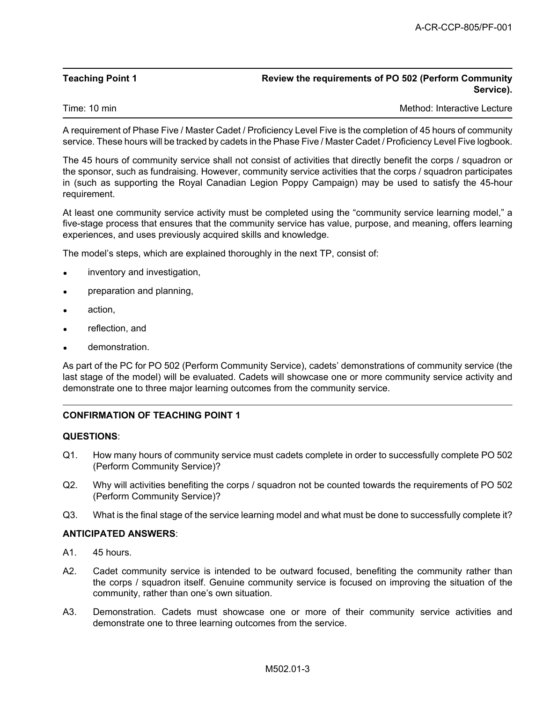# **Teaching Point 1 Review the requirements of PO 502 (Perform Community Service).**

Time: 10 min Method: Interactive Lecture Communication of the Method: Interactive Lecture

A requirement of Phase Five / Master Cadet / Proficiency Level Five is the completion of 45 hours of community service. These hours will be tracked by cadets in the Phase Five / Master Cadet / Proficiency Level Five logbook.

The 45 hours of community service shall not consist of activities that directly benefit the corps / squadron or the sponsor, such as fundraising. However, community service activities that the corps / squadron participates in (such as supporting the Royal Canadian Legion Poppy Campaign) may be used to satisfy the 45-hour requirement.

At least one community service activity must be completed using the "community service learning model," a five-stage process that ensures that the community service has value, purpose, and meaning, offers learning experiences, and uses previously acquired skills and knowledge.

The model's steps, which are explained thoroughly in the next TP, consist of:

- inventory and investigation,
- preparation and planning,
- action,
- reflection, and
- demonstration.

As part of the PC for PO 502 (Perform Community Service), cadets' demonstrations of community service (the last stage of the model) will be evaluated. Cadets will showcase one or more community service activity and demonstrate one to three major learning outcomes from the community service.

#### **CONFIRMATION OF TEACHING POINT 1**

#### **QUESTIONS**:

- Q1. How many hours of community service must cadets complete in order to successfully complete PO 502 (Perform Community Service)?
- Q2. Why will activities benefiting the corps / squadron not be counted towards the requirements of PO 502 (Perform Community Service)?
- Q3. What is the final stage of the service learning model and what must be done to successfully complete it?

#### **ANTICIPATED ANSWERS**:

- A1. 45 hours.
- A2. Cadet community service is intended to be outward focused, benefiting the community rather than the corps / squadron itself. Genuine community service is focused on improving the situation of the community, rather than one's own situation.
- A3. Demonstration. Cadets must showcase one or more of their community service activities and demonstrate one to three learning outcomes from the service.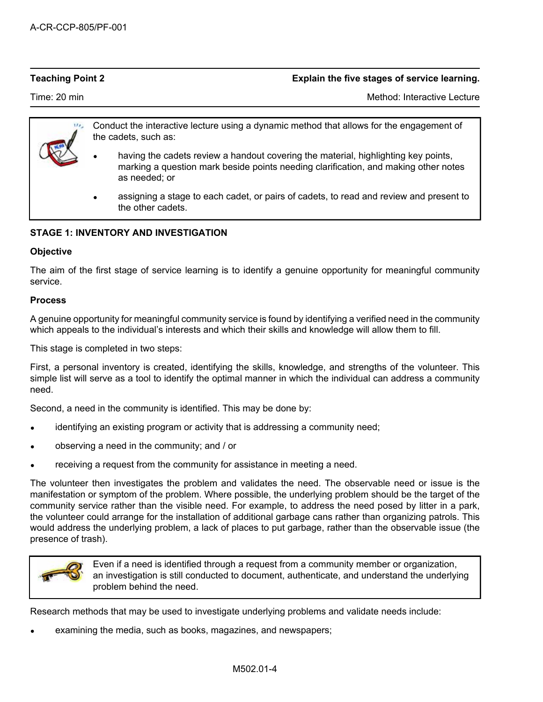## **Teaching Point 2 Explain the five stages of service learning.**

Time: 20 min Method: Interactive Lecture Communication of the Method: Interactive Lecture

- Conduct the interactive lecture using a dynamic method that allows for the engagement of the cadets, such as:
	- having the cadets review a handout covering the material, highlighting key points, marking a question mark beside points needing clarification, and making other notes as needed; or
	- assigning a stage to each cadet, or pairs of cadets, to read and review and present to the other cadets.

### **STAGE 1: INVENTORY AND INVESTIGATION**

#### **Objective**

The aim of the first stage of service learning is to identify a genuine opportunity for meaningful community service.

#### **Process**

A genuine opportunity for meaningful community service is found by identifying a verified need in the community which appeals to the individual's interests and which their skills and knowledge will allow them to fill.

This stage is completed in two steps:

First, a personal inventory is created, identifying the skills, knowledge, and strengths of the volunteer. This simple list will serve as a tool to identify the optimal manner in which the individual can address a community need.

Second, a need in the community is identified. This may be done by:

- identifying an existing program or activity that is addressing a community need;
- observing a need in the community; and / or
- receiving a request from the community for assistance in meeting a need.

The volunteer then investigates the problem and validates the need. The observable need or issue is the manifestation or symptom of the problem. Where possible, the underlying problem should be the target of the community service rather than the visible need. For example, to address the need posed by litter in a park, the volunteer could arrange for the installation of additional garbage cans rather than organizing patrols. This would address the underlying problem, a lack of places to put garbage, rather than the observable issue (the presence of trash).



Even if a need is identified through a request from a community member or organization, an investigation is still conducted to document, authenticate, and understand the underlying problem behind the need.

Research methods that may be used to investigate underlying problems and validate needs include:

examining the media, such as books, magazines, and newspapers;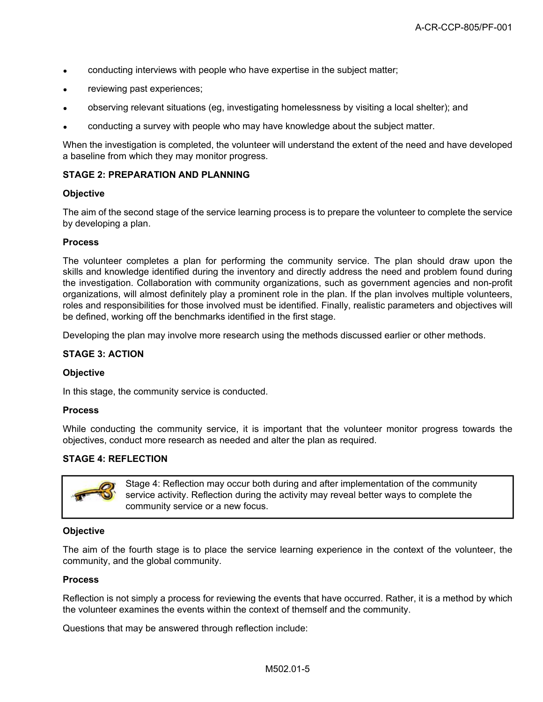- conducting interviews with people who have expertise in the subject matter;
- reviewing past experiences;
- observing relevant situations (eg, investigating homelessness by visiting a local shelter); and
- conducting a survey with people who may have knowledge about the subject matter.

When the investigation is completed, the volunteer will understand the extent of the need and have developed a baseline from which they may monitor progress.

#### **STAGE 2: PREPARATION AND PLANNING**

#### **Objective**

The aim of the second stage of the service learning process is to prepare the volunteer to complete the service by developing a plan.

#### **Process**

The volunteer completes a plan for performing the community service. The plan should draw upon the skills and knowledge identified during the inventory and directly address the need and problem found during the investigation. Collaboration with community organizations, such as government agencies and non-profit organizations, will almost definitely play a prominent role in the plan. If the plan involves multiple volunteers, roles and responsibilities for those involved must be identified. Finally, realistic parameters and objectives will be defined, working off the benchmarks identified in the first stage.

Developing the plan may involve more research using the methods discussed earlier or other methods.

#### **STAGE 3: ACTION**

#### **Objective**

In this stage, the community service is conducted.

#### **Process**

While conducting the community service, it is important that the volunteer monitor progress towards the objectives, conduct more research as needed and alter the plan as required.

#### **STAGE 4: REFLECTION**



Stage 4: Reflection may occur both during and after implementation of the community service activity. Reflection during the activity may reveal better ways to complete the community service or a new focus.

### **Objective**

The aim of the fourth stage is to place the service learning experience in the context of the volunteer, the community, and the global community.

#### **Process**

Reflection is not simply a process for reviewing the events that have occurred. Rather, it is a method by which the volunteer examines the events within the context of themself and the community.

Questions that may be answered through reflection include: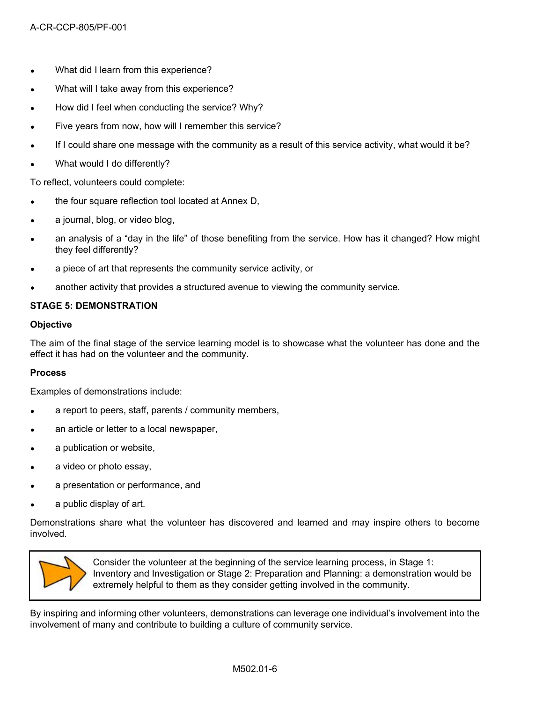- What did I learn from this experience?  $\bullet$
- What will I take away from this experience?
- How did I feel when conducting the service? Why?
- Five years from now, how will I remember this service?
- If I could share one message with the community as a result of this service activity, what would it be?
- What would I do differently?

To reflect, volunteers could complete:

- the four square reflection tool located at Annex D,
- a journal, blog, or video blog,
- an analysis of a "day in the life" of those benefiting from the service. How has it changed? How might they feel differently?
- a piece of art that represents the community service activity, or
- another activity that provides a structured avenue to viewing the community service.

#### **STAGE 5: DEMONSTRATION**

#### **Objective**

The aim of the final stage of the service learning model is to showcase what the volunteer has done and the effect it has had on the volunteer and the community.

#### **Process**

Examples of demonstrations include:

- a report to peers, staff, parents / community members,
- an article or letter to a local newspaper,
- a publication or website,
- a video or photo essay,
- a presentation or performance, and  $\bullet$
- a public display of art.

Demonstrations share what the volunteer has discovered and learned and may inspire others to become involved.



Consider the volunteer at the beginning of the service learning process, in Stage 1: Inventory and Investigation or Stage 2: Preparation and Planning: a demonstration would be extremely helpful to them as they consider getting involved in the community.

By inspiring and informing other volunteers, demonstrations can leverage one individual's involvement into the involvement of many and contribute to building a culture of community service.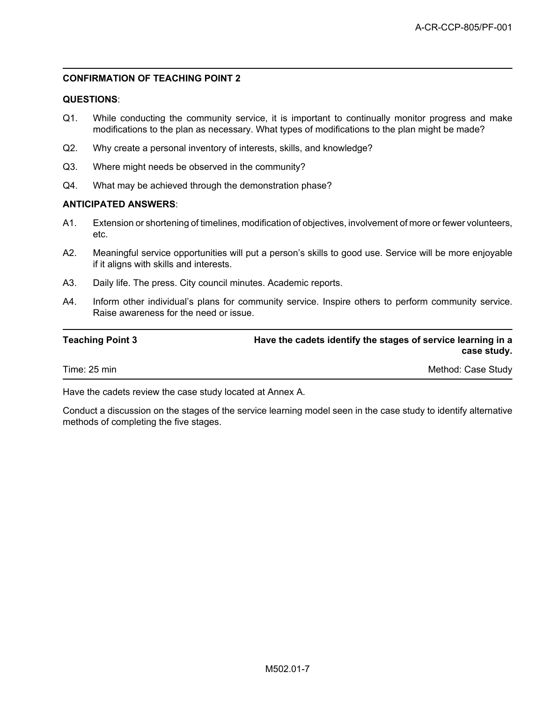### **CONFIRMATION OF TEACHING POINT 2**

#### **QUESTIONS**:

- Q1. While conducting the community service, it is important to continually monitor progress and make modifications to the plan as necessary. What types of modifications to the plan might be made?
- Q2. Why create a personal inventory of interests, skills, and knowledge?
- Q3. Where might needs be observed in the community?
- Q4. What may be achieved through the demonstration phase?

#### **ANTICIPATED ANSWERS**:

- A1. Extension or shortening of timelines, modification of objectives, involvement of more or fewer volunteers, etc.
- A2. Meaningful service opportunities will put a person's skills to good use. Service will be more enjoyable if it aligns with skills and interests.
- A3. Daily life. The press. City council minutes. Academic reports.
- A4. Inform other individual's plans for community service. Inspire others to perform community service. Raise awareness for the need or issue.

| <b>Teaching Point 3</b> | Have the cadets identify the stages of service learning in a<br>case study. |  |  |
|-------------------------|-----------------------------------------------------------------------------|--|--|
| Time: 25 min            | Method: Case Study                                                          |  |  |

Have the cadets review the case study located at Annex A.

Conduct a discussion on the stages of the service learning model seen in the case study to identify alternative methods of completing the five stages.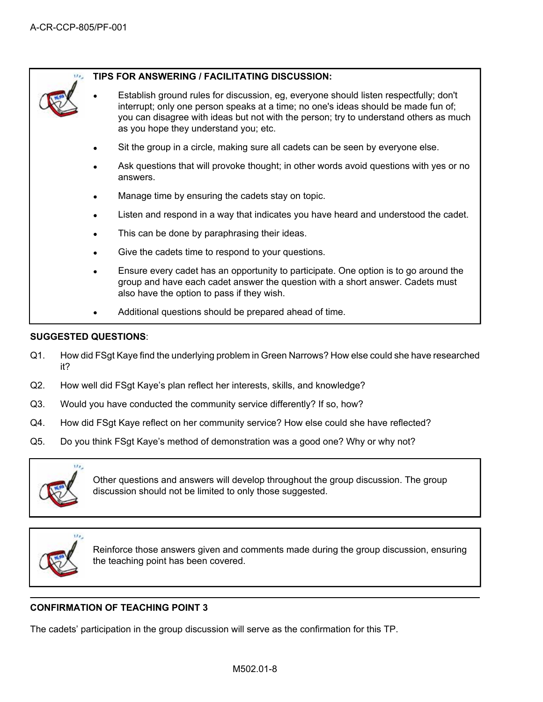# **TIPS FOR ANSWERING / FACILITATING DISCUSSION:**

- Establish ground rules for discussion, eg, everyone should listen respectfully; don't interrupt; only one person speaks at a time; no one's ideas should be made fun of; you can disagree with ideas but not with the person; try to understand others as much as you hope they understand you; etc.
- Sit the group in a circle, making sure all cadets can be seen by everyone else.  $\bullet$
- Ask questions that will provoke thought; in other words avoid questions with yes or no  $\bullet$ answers.
- Manage time by ensuring the cadets stay on topic.
- Listen and respond in a way that indicates you have heard and understood the cadet.  $\bullet$
- This can be done by paraphrasing their ideas.  $\bullet$
- $\bullet$ Give the cadets time to respond to your questions.
- Ensure every cadet has an opportunity to participate. One option is to go around the group and have each cadet answer the question with a short answer. Cadets must also have the option to pass if they wish.
- Additional questions should be prepared ahead of time.  $\bullet$

### **SUGGESTED QUESTIONS**:

- Q1. How did FSgt Kaye find the underlying problem in Green Narrows? How else could she have researched it?
- Q2. How well did FSgt Kaye's plan reflect her interests, skills, and knowledge?
- Q3. Would you have conducted the community service differently? If so, how?
- Q4. How did FSgt Kaye reflect on her community service? How else could she have reflected?
- Q5. Do you think FSgt Kaye's method of demonstration was a good one? Why or why not?



Other questions and answers will develop throughout the group discussion. The group discussion should not be limited to only those suggested.



Reinforce those answers given and comments made during the group discussion, ensuring the teaching point has been covered.

# **CONFIRMATION OF TEACHING POINT 3**

The cadets' participation in the group discussion will serve as the confirmation for this TP.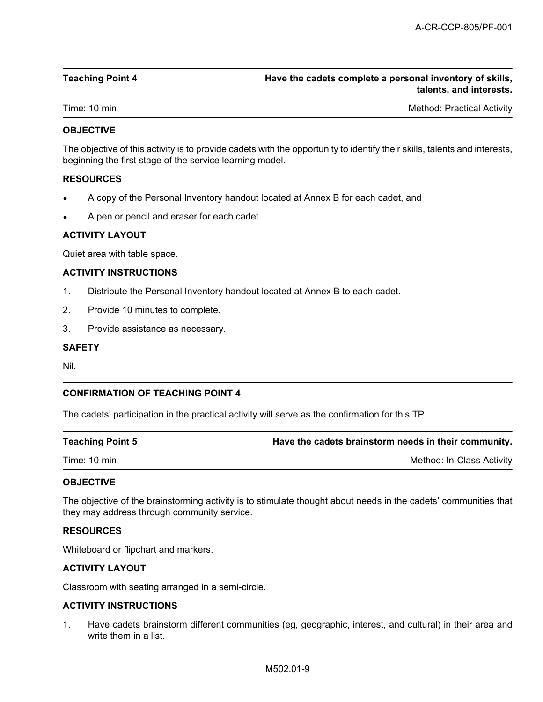# **Teaching Point 4 Have the cadets complete a personal inventory of skills, talents, and interests.**

Time: 10 min Method: Practical Activity

#### **OBJECTIVE**

The objective of this activity is to provide cadets with the opportunity to identify their skills, talents and interests, beginning the first stage of the service learning model.

#### **RESOURCES**

- A copy of the Personal Inventory handout located at Annex B for each cadet, and
- A pen or pencil and eraser for each cadet.

### **ACTIVITY LAYOUT**

Quiet area with table space.

#### **ACTIVITY INSTRUCTIONS**

- 1. Distribute the Personal Inventory handout located at Annex B to each cadet.
- 2. Provide 10 minutes to complete.
- 3. Provide assistance as necessary.

#### **SAFETY**

Nil.

### **CONFIRMATION OF TEACHING POINT 4**

The cadets' participation in the practical activity will serve as the confirmation for this TP.

| <b>Teaching Point 5</b> | Have the cadets brainstorm needs in their community. |
|-------------------------|------------------------------------------------------|
| Time: 10 min            | Method: In-Class Activity                            |

#### **OBJECTIVE**

The objective of the brainstorming activity is to stimulate thought about needs in the cadets' communities that they may address through community service.

#### **RESOURCES**

Whiteboard or flipchart and markers.

### **ACTIVITY LAYOUT**

Classroom with seating arranged in a semi-circle.

#### **ACTIVITY INSTRUCTIONS**

1. Have cadets brainstorm different communities (eg, geographic, interest, and cultural) in their area and write them in a list.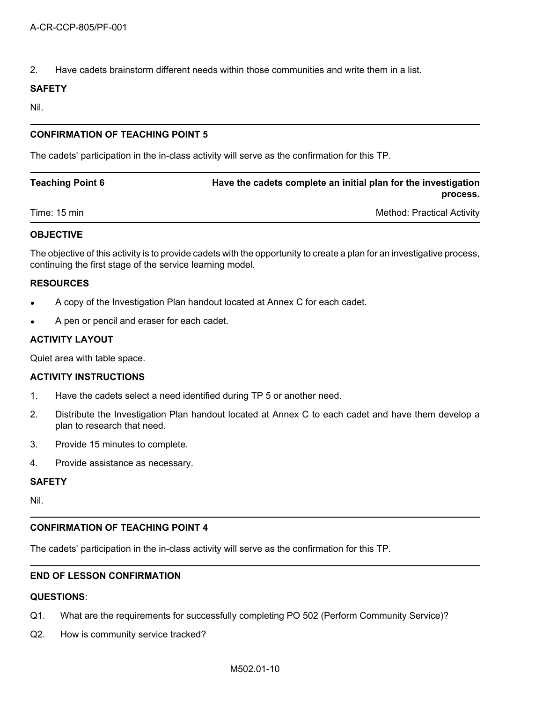2. Have cadets brainstorm different needs within those communities and write them in a list.

# **SAFETY**

Nil.

# **CONFIRMATION OF TEACHING POINT 5**

The cadets' participation in the in-class activity will serve as the confirmation for this TP.

| <b>Teaching Point 6</b> | Have the cadets complete an initial plan for the investigation<br>process. |
|-------------------------|----------------------------------------------------------------------------|
| Time: 15 min            | <b>Method: Practical Activity</b>                                          |

# **OBJECTIVE**

The objective of this activity is to provide cadets with the opportunity to create a plan for an investigative process, continuing the first stage of the service learning model.

### **RESOURCES**

- A copy of the Investigation Plan handout located at Annex C for each cadet.
- A pen or pencil and eraser for each cadet.

# **ACTIVITY LAYOUT**

Quiet area with table space.

### **ACTIVITY INSTRUCTIONS**

- 1. Have the cadets select a need identified during TP 5 or another need.
- 2. Distribute the Investigation Plan handout located at Annex C to each cadet and have them develop a plan to research that need.
- 3. Provide 15 minutes to complete.
- 4. Provide assistance as necessary.

### **SAFETY**

Nil.

### **CONFIRMATION OF TEACHING POINT 4**

The cadets' participation in the in-class activity will serve as the confirmation for this TP.

# **END OF LESSON CONFIRMATION**

### **QUESTIONS**:

- Q1. What are the requirements for successfully completing PO 502 (Perform Community Service)?
- Q2. How is community service tracked?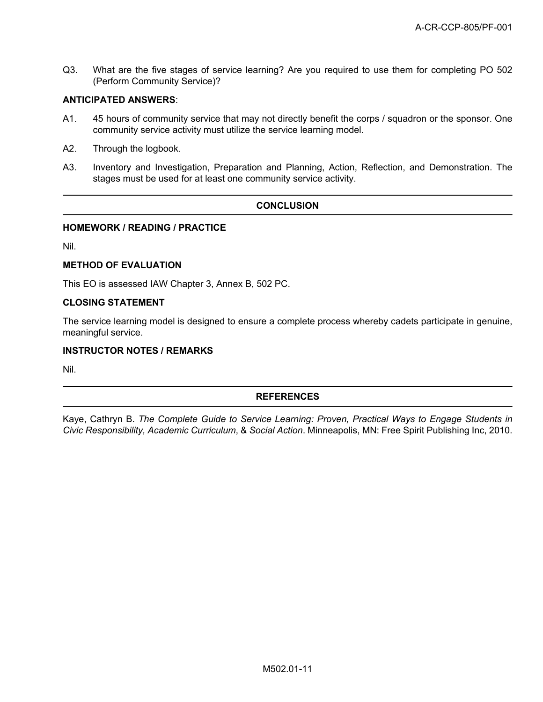Q3. What are the five stages of service learning? Are you required to use them for completing PO 502 (Perform Community Service)?

#### **ANTICIPATED ANSWERS**:

- A1. 45 hours of community service that may not directly benefit the corps / squadron or the sponsor. One community service activity must utilize the service learning model.
- A2. Through the logbook.
- A3. Inventory and Investigation, Preparation and Planning, Action, Reflection, and Demonstration. The stages must be used for at least one community service activity.

## **CONCLUSION**

#### **HOMEWORK / READING / PRACTICE**

Nil.

#### **METHOD OF EVALUATION**

This EO is assessed IAW Chapter 3, Annex B, 502 PC.

#### **CLOSING STATEMENT**

The service learning model is designed to ensure a complete process whereby cadets participate in genuine, meaningful service.

#### **INSTRUCTOR NOTES / REMARKS**

Nil.

### **REFERENCES**

Kaye, Cathryn B. *The Complete Guide to Service Learning: Proven, Practical Ways to Engage Students in Civic Responsibility, Academic Curriculum*, & *Social Action*. Minneapolis, MN: Free Spirit Publishing Inc, 2010.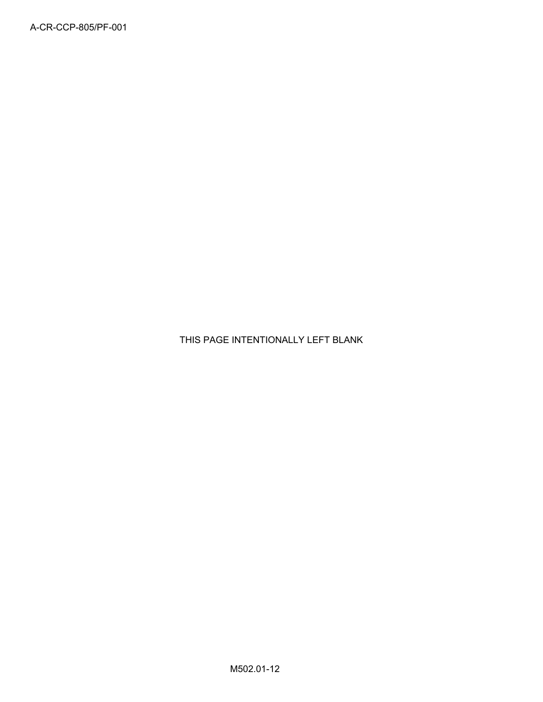THIS PAGE INTENTIONALLY LEFT BLANK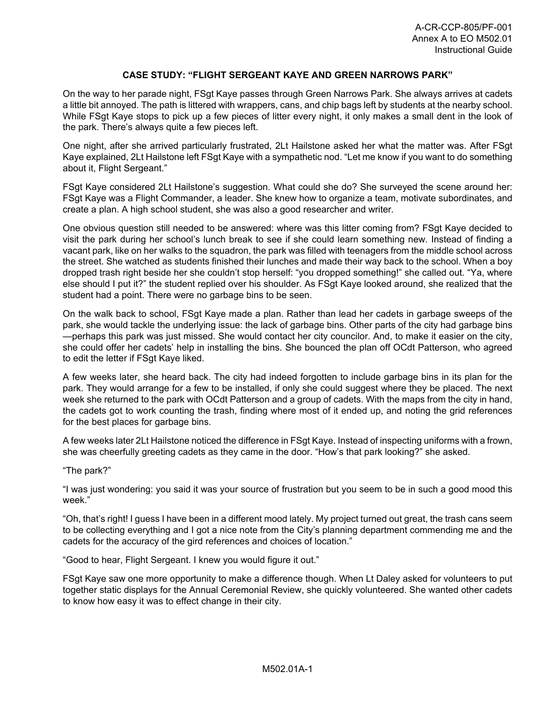# **CASE STUDY: "FLIGHT SERGEANT KAYE AND GREEN NARROWS PARK"**

On the way to her parade night, FSgt Kaye passes through Green Narrows Park. She always arrives at cadets a little bit annoyed. The path is littered with wrappers, cans, and chip bags left by students at the nearby school. While FSgt Kaye stops to pick up a few pieces of litter every night, it only makes a small dent in the look of the park. There's always quite a few pieces left.

One night, after she arrived particularly frustrated, 2Lt Hailstone asked her what the matter was. After FSgt Kaye explained, 2Lt Hailstone left FSgt Kaye with a sympathetic nod. "Let me know if you want to do something about it, Flight Sergeant."

FSgt Kaye considered 2Lt Hailstone's suggestion. What could she do? She surveyed the scene around her: FSgt Kaye was a Flight Commander, a leader. She knew how to organize a team, motivate subordinates, and create a plan. A high school student, she was also a good researcher and writer.

One obvious question still needed to be answered: where was this litter coming from? FSgt Kaye decided to visit the park during her school's lunch break to see if she could learn something new. Instead of finding a vacant park, like on her walks to the squadron, the park was filled with teenagers from the middle school across the street. She watched as students finished their lunches and made their way back to the school. When a boy dropped trash right beside her she couldn't stop herself: "you dropped something!" she called out. "Ya, where else should I put it?" the student replied over his shoulder. As FSgt Kaye looked around, she realized that the student had a point. There were no garbage bins to be seen.

On the walk back to school, FSgt Kaye made a plan. Rather than lead her cadets in garbage sweeps of the park, she would tackle the underlying issue: the lack of garbage bins. Other parts of the city had garbage bins —perhaps this park was just missed. She would contact her city councilor. And, to make it easier on the city, she could offer her cadets' help in installing the bins. She bounced the plan off OCdt Patterson, who agreed to edit the letter if FSgt Kaye liked.

A few weeks later, she heard back. The city had indeed forgotten to include garbage bins in its plan for the park. They would arrange for a few to be installed, if only she could suggest where they be placed. The next week she returned to the park with OCdt Patterson and a group of cadets. With the maps from the city in hand, the cadets got to work counting the trash, finding where most of it ended up, and noting the grid references for the best places for garbage bins.

A few weeks later 2Lt Hailstone noticed the difference in FSgt Kaye. Instead of inspecting uniforms with a frown, she was cheerfully greeting cadets as they came in the door. "How's that park looking?" she asked.

"The park?"

"I was just wondering: you said it was your source of frustration but you seem to be in such a good mood this week."

"Oh, that's right! I guess I have been in a different mood lately. My project turned out great, the trash cans seem to be collecting everything and I got a nice note from the City's planning department commending me and the cadets for the accuracy of the gird references and choices of location."

"Good to hear, Flight Sergeant. I knew you would figure it out."

FSgt Kaye saw one more opportunity to make a difference though. When Lt Daley asked for volunteers to put together static displays for the Annual Ceremonial Review, she quickly volunteered. She wanted other cadets to know how easy it was to effect change in their city.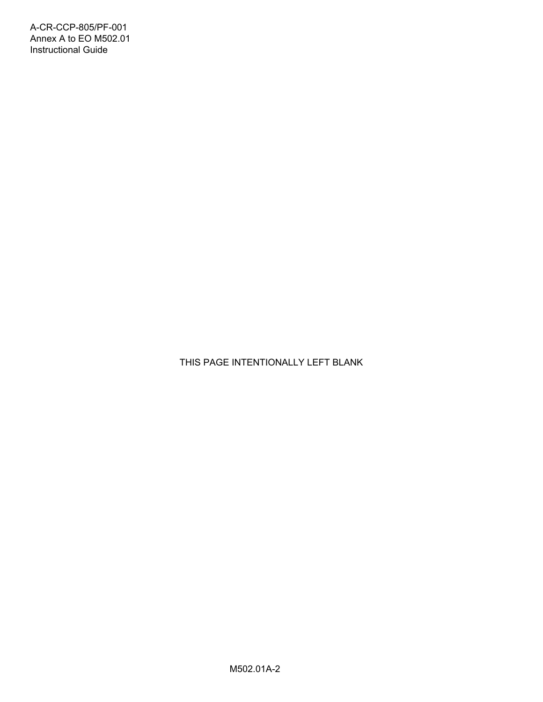THIS PAGE INTENTIONALLY LEFT BLANK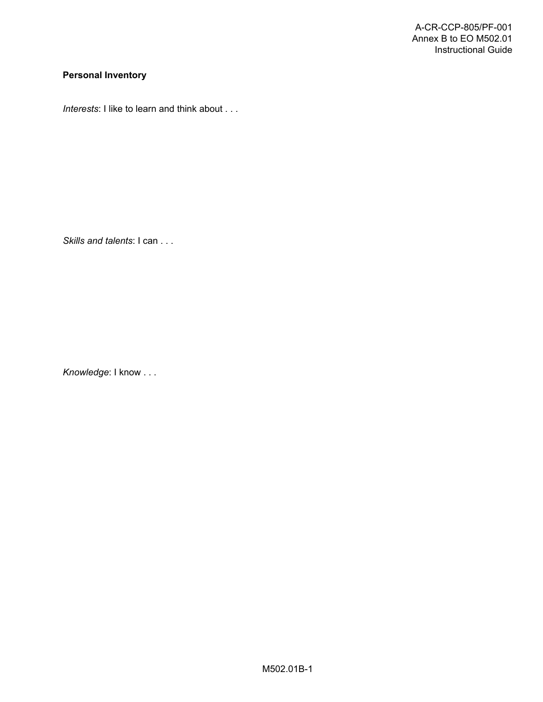# **Personal Inventory**

*Interests*: I like to learn and think about . . .

*Skills and talents*: I can . . .

*Knowledge*: I know . . .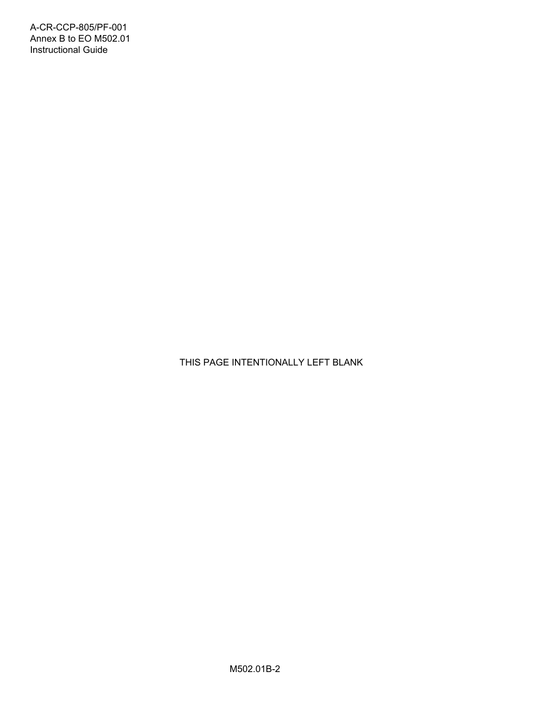THIS PAGE INTENTIONALLY LEFT BLANK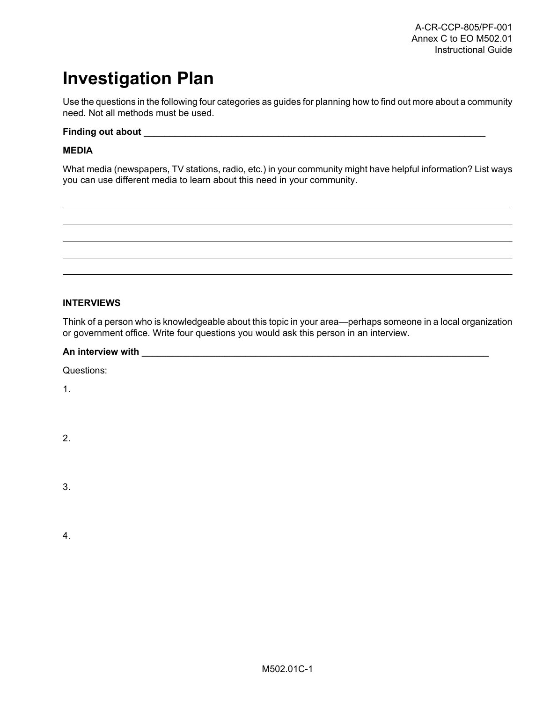# **Investigation Plan**

Use the questions in the following four categories as guides for planning how to find out more about a community need. Not all methods must be used.

**Finding out about** \_\_\_\_\_\_\_\_\_\_\_\_\_\_\_\_\_\_\_\_\_\_\_\_\_\_\_\_\_\_\_\_\_\_\_\_\_\_\_\_\_\_\_\_\_\_\_\_\_\_\_\_\_\_\_\_\_\_\_\_\_\_\_\_\_\_

### **MEDIA**

What media (newspapers, TV stations, radio, etc.) in your community might have helpful information? List ways you can use different media to learn about this need in your community.

### **INTERVIEWS**

Think of a person who is knowledgeable about this topic in your area—perhaps someone in a local organization or government office. Write four questions you would ask this person in an interview.

| An interview with |  |  |  |
|-------------------|--|--|--|
| Questions:        |  |  |  |
| 1.                |  |  |  |
|                   |  |  |  |

2.

3.

4.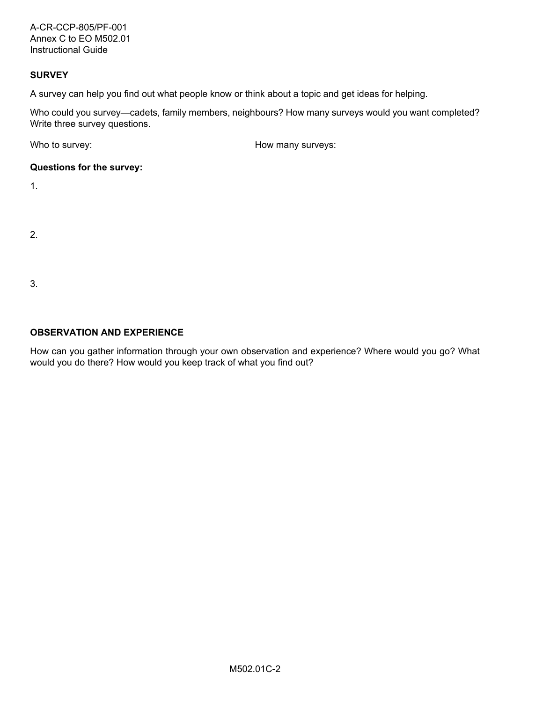A-CR-CCP-805/PF-001 Annex C to EO M502.01 Instructional Guide

# **SURVEY**

A survey can help you find out what people know or think about a topic and get ideas for helping.

Who could you survey—cadets, family members, neighbours? How many surveys would you want completed? Write three survey questions.

Who to survey:  $\blacksquare$  How many surveys:

### **Questions for the survey:**

1.

2.

3.

# **OBSERVATION AND EXPERIENCE**

How can you gather information through your own observation and experience? Where would you go? What would you do there? How would you keep track of what you find out?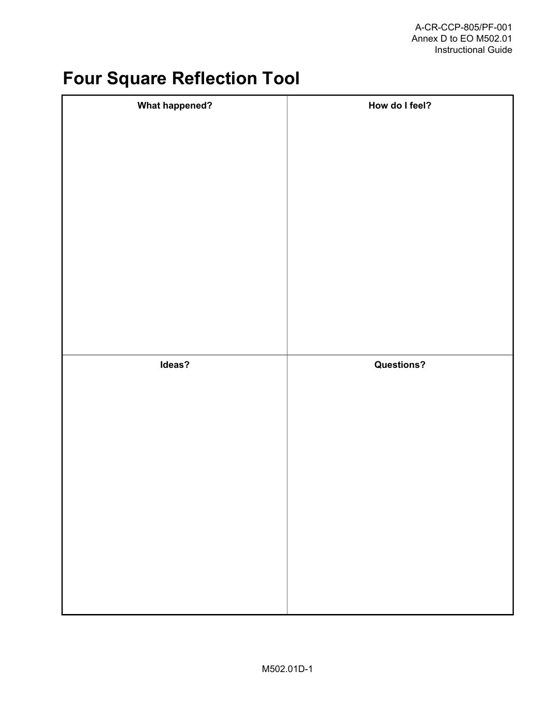A-CR-CCP-805/PF-001 Annex D to EO M502.01 Instructional Guide

# **Four Square Reflection Tool**

| <b>What happened?</b> | How do I feel?    |
|-----------------------|-------------------|
|                       |                   |
|                       |                   |
|                       |                   |
|                       |                   |
|                       |                   |
|                       |                   |
|                       |                   |
|                       |                   |
|                       |                   |
|                       |                   |
|                       |                   |
| Ideas?                | <b>Questions?</b> |
|                       |                   |
|                       |                   |
|                       |                   |
|                       |                   |
|                       |                   |
|                       |                   |
|                       |                   |
|                       |                   |
|                       |                   |
|                       |                   |
|                       |                   |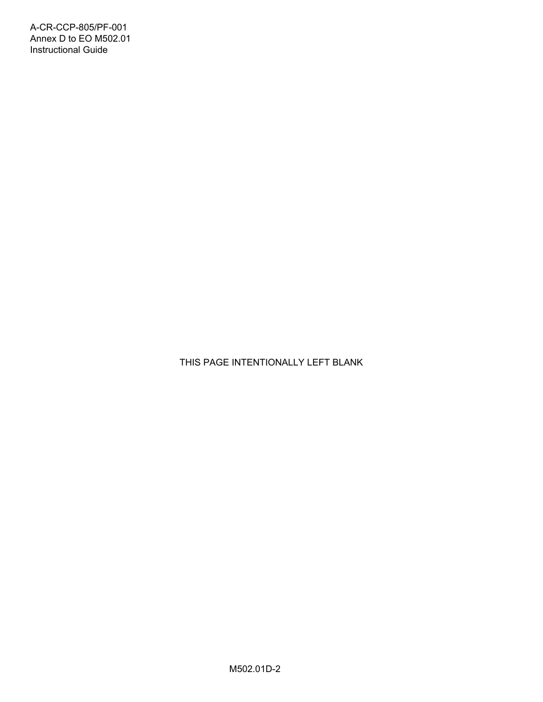THIS PAGE INTENTIONALLY LEFT BLANK